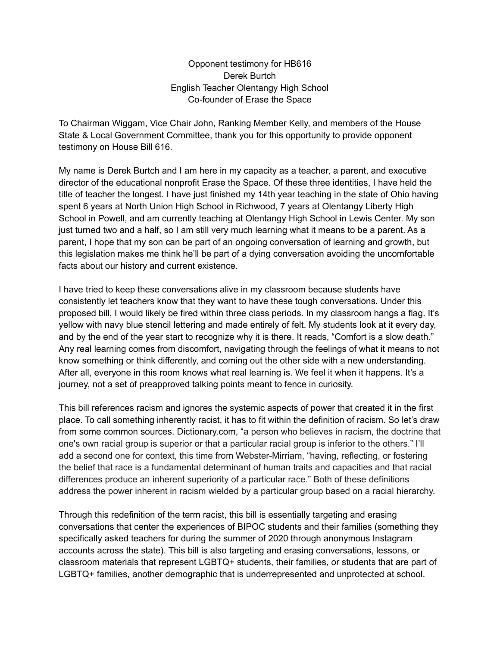Opponent testimony for HB616 Derek Burtch English Teacher Olentangy High School Co-founder of Erase the Space

To Chairman Wiggam, Vice Chair John, Ranking Member Kelly, and members of the House State & Local Government Committee, thank you for this opportunity to provide opponent testimony on House Bill 616.

My name is Derek Burtch and I am here in my capacity as a teacher, a parent, and executive director of the educational nonprofit Erase the Space. Of these three identities, I have held the title of teacher the longest. I have just finished my 14th year teaching in the state of Ohio having spent 6 years at North Union High School in Richwood, 7 years at Olentangy Liberty High School in Powell, and am currently teaching at Olentangy High School in Lewis Center. My son just turned two and a half, so I am still very much learning what it means to be a parent. As a parent, I hope that my son can be part of an ongoing conversation of learning and growth, but this legislation makes me think he'll be part of a dying conversation avoiding the uncomfortable facts about our history and current existence.

I have tried to keep these conversations alive in my classroom because students have consistently let teachers know that they want to have these tough conversations. Under this proposed bill, I would likely be fired within three class periods. In my classroom hangs a flag. It's yellow with navy blue stencil lettering and made entirely of felt. My students look at it every day, and by the end of the year start to recognize why it is there. It reads, "Comfort is a slow death." Any real learning comes from discomfort, navigating through the feelings of what it means to not know something or think differently, and coming out the other side with a new understanding. After all, everyone in this room knows what real learning is. We feel it when it happens. It's a journey, not a set of preapproved talking points meant to fence in curiosity.

This bill references racism and ignores the systemic aspects of power that created it in the first place. To call something inherently racist, it has to fit within the definition of racism. So let's draw from some common sources. Dictionary.com, "a person who believes in racism, the doctrine that one's own racial group is superior or that a particular racial group is inferior to the others." I'll add a second one for context, this time from Webster-Mirriam, "having, reflecting, or fostering the belief that race is a fundamental determinant of human traits and capacities and that racial differences produce an inherent superiority of a particular race." Both of these definitions address the power inherent in racism wielded by a particular group based on a racial hierarchy.

Through this redefinition of the term racist, this bill is essentially targeting and erasing conversations that center the experiences of BIPOC students and their families (something they specifically asked teachers for during the summer of 2020 through anonymous Instagram accounts across the state). This bill is also targeting and erasing conversations, lessons, or classroom materials that represent LGBTQ+ students, their families, or students that are part of LGBTQ+ families, another demographic that is underrepresented and unprotected at school.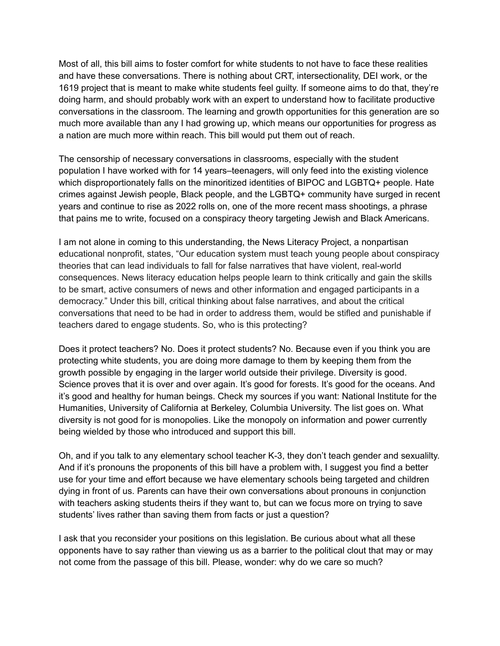Most of all, this bill aims to foster comfort for white students to not have to face these realities and have these conversations. There is nothing about CRT, intersectionality, DEI work, or the 1619 project that is meant to make white students feel guilty. If someone aims to do that, they're doing harm, and should probably work with an expert to understand how to facilitate productive conversations in the classroom. The learning and growth opportunities for this generation are so much more available than any I had growing up, which means our opportunities for progress as a nation are much more within reach. This bill would put them out of reach.

The censorship of necessary conversations in classrooms, especially with the student population I have worked with for 14 years–teenagers, will only feed into the existing violence which disproportionately falls on the minoritized identities of BIPOC and LGBTQ+ people. Hate crimes against Jewish people, Black people, and the LGBTQ+ community have surged in recent years and continue to rise as 2022 rolls on, one of the more recent mass shootings, a phrase that pains me to write, focused on a conspiracy theory targeting Jewish and Black Americans.

I am not alone in coming to this understanding, the News Literacy Project, a nonpartisan educational nonprofit, states, "Our education system must teach young people about conspiracy theories that can lead individuals to fall for false narratives that have violent, real-world consequences. News literacy education helps people learn to think critically and gain the skills to be smart, active consumers of news and other information and engaged participants in a democracy." Under this bill, critical thinking about false narratives, and about the critical conversations that need to be had in order to address them, would be stifled and punishable if teachers dared to engage students. So, who is this protecting?

Does it protect teachers? No. Does it protect students? No. Because even if you think you are protecting white students, you are doing more damage to them by keeping them from the growth possible by engaging in the larger world outside their privilege. Diversity is good. Science proves that it is over and over again. It's good for forests. It's good for the oceans. And it's good and healthy for human beings. Check my sources if you want: National Institute for the Humanities, University of California at Berkeley, Columbia University. The list goes on. What diversity is not good for is monopolies. Like the monopoly on information and power currently being wielded by those who introduced and support this bill.

Oh, and if you talk to any elementary school teacher K-3, they don't teach gender and sexualilty. And if it's pronouns the proponents of this bill have a problem with, I suggest you find a better use for your time and effort because we have elementary schools being targeted and children dying in front of us. Parents can have their own conversations about pronouns in conjunction with teachers asking students theirs if they want to, but can we focus more on trying to save students' lives rather than saving them from facts or just a question?

I ask that you reconsider your positions on this legislation. Be curious about what all these opponents have to say rather than viewing us as a barrier to the political clout that may or may not come from the passage of this bill. Please, wonder: why do we care so much?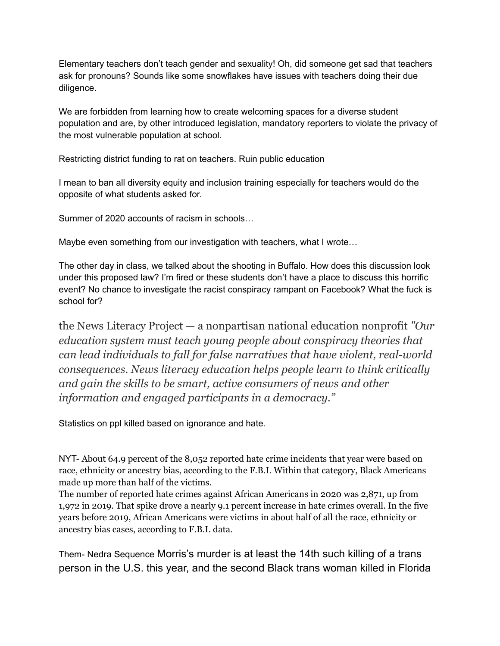Elementary teachers don't teach gender and sexuality! Oh, did someone get sad that teachers ask for pronouns? Sounds like some snowflakes have issues with teachers doing their due diligence.

We are forbidden from learning how to create welcoming spaces for a diverse student population and are, by other introduced legislation, mandatory reporters to violate the privacy of the most vulnerable population at school.

Restricting district funding to rat on teachers. Ruin public education

I mean to ban all diversity equity and inclusion training especially for teachers would do the opposite of what students asked for.

Summer of 2020 accounts of racism in schools…

Maybe even something from our investigation with teachers, what I wrote…

The other day in class, we talked about the shooting in Buffalo. How does this discussion look under this proposed law? I'm fired or these students don't have a place to discuss this horrific event? No chance to investigate the racist conspiracy rampant on Facebook? What the fuck is school for?

the News Literacy Project — a nonpartisan national education nonprofit *"Our education system must teach young people about conspiracy theories that can lead individuals to fall for false narratives that have violent, real-world consequences. News literacy education helps people learn to think critically and gain the skills to be smart, active consumers of news and other information and engaged participants in a democracy."*

Statistics on ppl killed based on ignorance and hate.

NYT- About 64.9 percent of the 8,052 reported hate crime incidents that year were based on race, ethnicity or ancestry bias, according to the F.B.I. Within that category, Black Americans made up more than half of the victims.

The number of reported hate crimes against African Americans in 2020 was 2,871, up from 1,972 in 2019. That spike drove a nearly 9.1 percent increase in hate crimes overall. In the five years before 2019, African Americans were victims in about half of all the race, ethnicity or ancestry bias cases, according to F.B.I. data.

Them- Nedra Sequence Morris's murder is at least the 14th such killing of a trans person in the U.S. this year, and the second Black trans woman killed in Florida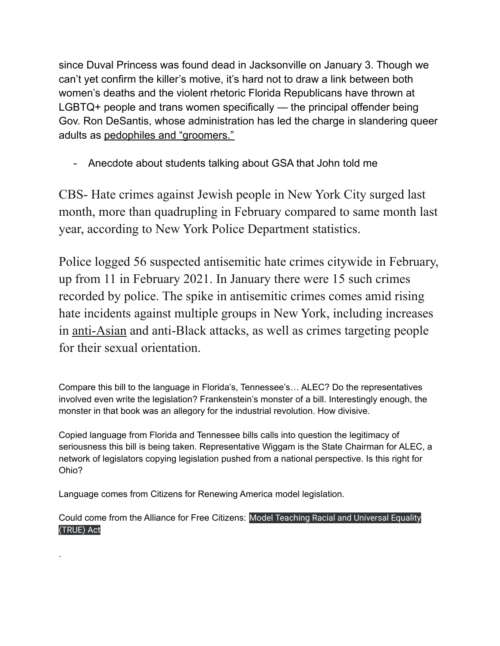since Duval Princess was found dead in Jacksonville on January 3. Though we can't yet confirm the killer's motive, it's hard not to draw a link between both women's deaths and the violent rhetoric Florida Republicans have thrown at LGBTQ+ people and trans women specifically — the principal offender being Gov. Ron DeSantis, whose administration has led the charge in slandering queer adults as pedophiles and ["groomers."](https://www.them.us/story/republicans-conservatives-grooming-lgbtq-bills-dont-say-gay)

- Anecdote about students talking about GSA that John told me

CBS- Hate crimes against Jewish people in New York City surged last month, more than quadrupling in February compared to same month last year, according to New York Police Department statistics.

Police logged 56 suspected antisemitic hate crimes citywide in February, up from 11 in February 2021. In January there were 15 such crimes recorded by police. The spike in antisemitic crimes comes amid rising hate incidents against multiple groups in New York, including increases in [anti-Asian](https://www.cbsnews.com/news/steven-zajonc-arrested-attacks-on-7-asian-women-new-york-city/) and anti-Black attacks, as well as crimes targeting people for their sexual orientation.

Compare this bill to the language in Florida's, Tennessee's… ALEC? Do the representatives involved even write the legislation? Frankenstein's monster of a bill. Interestingly enough, the monster in that book was an allegory for the industrial revolution. How divisive.

Copied language from Florida and Tennessee bills calls into question the legitimacy of seriousness this bill is being taken. Representative Wiggam is the State Chairman for ALEC, a network of legislators copying legislation pushed from a national perspective. Is this right for Ohio?

Language comes from Citizens for Renewing America model legislation.

.

Could come from the Alliance for Free Citizens: Model Teaching Racial and Universal Equality (TRUE) Act